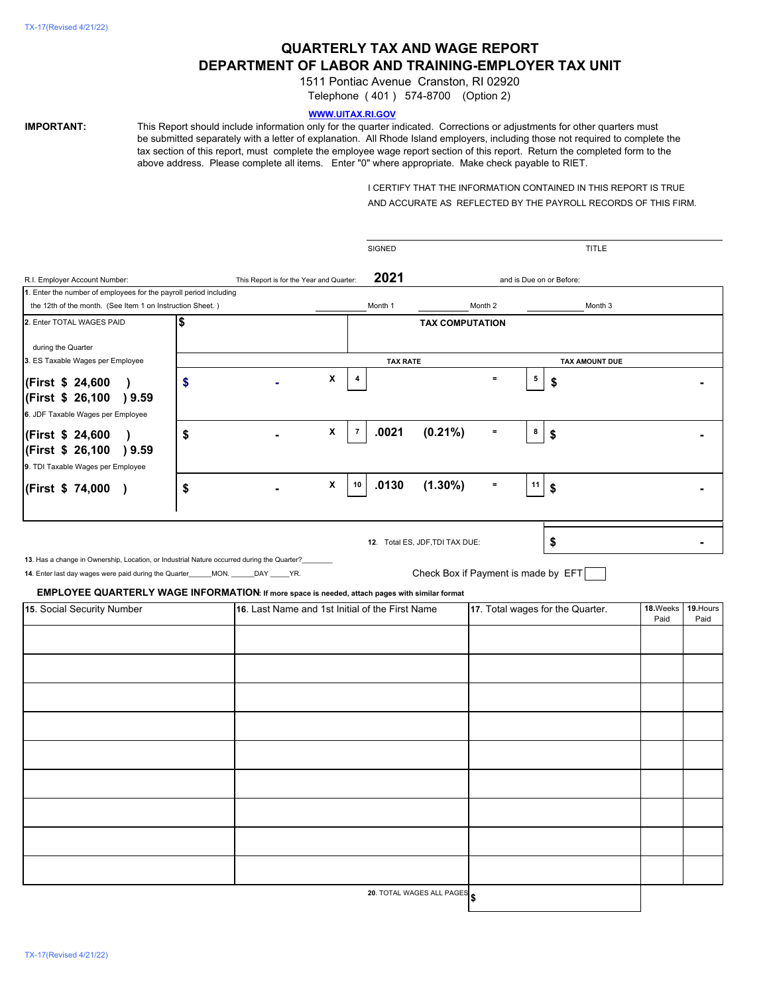# **QUARTERLY TAX AND WAGE REPORT DEPARTMENT OF LABOR AND TRAINING-EMPLOYER TAX UNIT**

1511 Pontiac Avenue Cranston, RI 02920

Telephone ( 401 ) 574-8700 (Option 2)

## **WWW.UITAX.RI.GOV**

**IMPORTANT:** This Report should include information only for the quarter indicated. Corrections or adjustments for other quarters must be submitted separately with a letter of explanation. All Rhode Island employers, including those not required to complete the tax section of this report, must complete the employee wage report section of this report. Return the completed form to the above address. Please complete all items. Enter "0" where appropriate. Make check payable to RIET.

> I CERTIFY THAT THE INFORMATION CONTAINED IN THIS REPORT IS TRUE AND ACCURATE AS REFLECTED BY THE PAYROLL RECORDS OF THIS FIRM.

| 2021<br>This Report is for the Year and Quarter:<br>and is Due on or Before:<br>1. Enter the number of employees for the payroll period including<br>the 12th of the month. (See Item 1 on Instruction Sheet.)<br>Month 1<br>Month 2<br>Month 3<br>\$<br><b>TAX COMPUTATION</b><br>during the Quarter<br>3. ES Taxable Wages per Employee<br><b>TAX RATE</b><br>TAX AMOUNT DUE<br>X<br>5<br>$\equiv$<br>$\boldsymbol{4}$<br>(First \$ 24,600<br>\$<br>\$<br>$\lambda$<br>(First \$ 26,100 ) 9.59<br>X<br>.0021<br>$(0.21\%)$<br>$\overline{7}$<br>8<br>$\equiv$<br>\$<br>\$<br>(First \$ 24,600<br>$\lambda$<br>(First \$ 26,100 ) 9.59<br>9. TDI Taxable Wages per Employee<br>.0130<br>$(1.30\%)$<br>X<br>10<br>$\equiv$<br>11<br>\$<br>\$<br>(First \$74,000)<br>\$<br>12. Total ES, JDF, TDI TAX DUE:<br>13. Has a change in Ownership, Location, or Industrial Nature occurred during the Quarter?<br>14. Enter last day wages were paid during the Quarter______MON. ______DAY _____YR.<br>Check Box if Payment is made by EFT<br><b>EMPLOYEE QUARTERLY WAGE INFORMATION:</b> If more space is needed, attach pages with similar format<br>15. Social Security Number<br>16. Last Name and 1st Initial of the First Name<br>17. Total wages for the Quarter.<br>18.Weeks<br>19. Hours<br>Paid<br>Paid<br>20. TOTAL WAGES ALL PAGES |                                   |  |  | <b>SIGNED</b> |  |  |  | TITLE |  |
|------------------------------------------------------------------------------------------------------------------------------------------------------------------------------------------------------------------------------------------------------------------------------------------------------------------------------------------------------------------------------------------------------------------------------------------------------------------------------------------------------------------------------------------------------------------------------------------------------------------------------------------------------------------------------------------------------------------------------------------------------------------------------------------------------------------------------------------------------------------------------------------------------------------------------------------------------------------------------------------------------------------------------------------------------------------------------------------------------------------------------------------------------------------------------------------------------------------------------------------------------------------------------------------------------------------------------------------|-----------------------------------|--|--|---------------|--|--|--|-------|--|
|                                                                                                                                                                                                                                                                                                                                                                                                                                                                                                                                                                                                                                                                                                                                                                                                                                                                                                                                                                                                                                                                                                                                                                                                                                                                                                                                          | R.I. Employer Account Number:     |  |  |               |  |  |  |       |  |
|                                                                                                                                                                                                                                                                                                                                                                                                                                                                                                                                                                                                                                                                                                                                                                                                                                                                                                                                                                                                                                                                                                                                                                                                                                                                                                                                          |                                   |  |  |               |  |  |  |       |  |
|                                                                                                                                                                                                                                                                                                                                                                                                                                                                                                                                                                                                                                                                                                                                                                                                                                                                                                                                                                                                                                                                                                                                                                                                                                                                                                                                          |                                   |  |  |               |  |  |  |       |  |
|                                                                                                                                                                                                                                                                                                                                                                                                                                                                                                                                                                                                                                                                                                                                                                                                                                                                                                                                                                                                                                                                                                                                                                                                                                                                                                                                          | 2. Enter TOTAL WAGES PAID         |  |  |               |  |  |  |       |  |
|                                                                                                                                                                                                                                                                                                                                                                                                                                                                                                                                                                                                                                                                                                                                                                                                                                                                                                                                                                                                                                                                                                                                                                                                                                                                                                                                          |                                   |  |  |               |  |  |  |       |  |
|                                                                                                                                                                                                                                                                                                                                                                                                                                                                                                                                                                                                                                                                                                                                                                                                                                                                                                                                                                                                                                                                                                                                                                                                                                                                                                                                          |                                   |  |  |               |  |  |  |       |  |
|                                                                                                                                                                                                                                                                                                                                                                                                                                                                                                                                                                                                                                                                                                                                                                                                                                                                                                                                                                                                                                                                                                                                                                                                                                                                                                                                          |                                   |  |  |               |  |  |  |       |  |
|                                                                                                                                                                                                                                                                                                                                                                                                                                                                                                                                                                                                                                                                                                                                                                                                                                                                                                                                                                                                                                                                                                                                                                                                                                                                                                                                          |                                   |  |  |               |  |  |  |       |  |
|                                                                                                                                                                                                                                                                                                                                                                                                                                                                                                                                                                                                                                                                                                                                                                                                                                                                                                                                                                                                                                                                                                                                                                                                                                                                                                                                          |                                   |  |  |               |  |  |  |       |  |
|                                                                                                                                                                                                                                                                                                                                                                                                                                                                                                                                                                                                                                                                                                                                                                                                                                                                                                                                                                                                                                                                                                                                                                                                                                                                                                                                          | 6. JDF Taxable Wages per Employee |  |  |               |  |  |  |       |  |
|                                                                                                                                                                                                                                                                                                                                                                                                                                                                                                                                                                                                                                                                                                                                                                                                                                                                                                                                                                                                                                                                                                                                                                                                                                                                                                                                          |                                   |  |  |               |  |  |  |       |  |
|                                                                                                                                                                                                                                                                                                                                                                                                                                                                                                                                                                                                                                                                                                                                                                                                                                                                                                                                                                                                                                                                                                                                                                                                                                                                                                                                          |                                   |  |  |               |  |  |  |       |  |
|                                                                                                                                                                                                                                                                                                                                                                                                                                                                                                                                                                                                                                                                                                                                                                                                                                                                                                                                                                                                                                                                                                                                                                                                                                                                                                                                          |                                   |  |  |               |  |  |  |       |  |
|                                                                                                                                                                                                                                                                                                                                                                                                                                                                                                                                                                                                                                                                                                                                                                                                                                                                                                                                                                                                                                                                                                                                                                                                                                                                                                                                          |                                   |  |  |               |  |  |  |       |  |
|                                                                                                                                                                                                                                                                                                                                                                                                                                                                                                                                                                                                                                                                                                                                                                                                                                                                                                                                                                                                                                                                                                                                                                                                                                                                                                                                          |                                   |  |  |               |  |  |  |       |  |
|                                                                                                                                                                                                                                                                                                                                                                                                                                                                                                                                                                                                                                                                                                                                                                                                                                                                                                                                                                                                                                                                                                                                                                                                                                                                                                                                          |                                   |  |  |               |  |  |  |       |  |
|                                                                                                                                                                                                                                                                                                                                                                                                                                                                                                                                                                                                                                                                                                                                                                                                                                                                                                                                                                                                                                                                                                                                                                                                                                                                                                                                          |                                   |  |  |               |  |  |  |       |  |
|                                                                                                                                                                                                                                                                                                                                                                                                                                                                                                                                                                                                                                                                                                                                                                                                                                                                                                                                                                                                                                                                                                                                                                                                                                                                                                                                          |                                   |  |  |               |  |  |  |       |  |
|                                                                                                                                                                                                                                                                                                                                                                                                                                                                                                                                                                                                                                                                                                                                                                                                                                                                                                                                                                                                                                                                                                                                                                                                                                                                                                                                          |                                   |  |  |               |  |  |  |       |  |
|                                                                                                                                                                                                                                                                                                                                                                                                                                                                                                                                                                                                                                                                                                                                                                                                                                                                                                                                                                                                                                                                                                                                                                                                                                                                                                                                          |                                   |  |  |               |  |  |  |       |  |
|                                                                                                                                                                                                                                                                                                                                                                                                                                                                                                                                                                                                                                                                                                                                                                                                                                                                                                                                                                                                                                                                                                                                                                                                                                                                                                                                          |                                   |  |  |               |  |  |  |       |  |
|                                                                                                                                                                                                                                                                                                                                                                                                                                                                                                                                                                                                                                                                                                                                                                                                                                                                                                                                                                                                                                                                                                                                                                                                                                                                                                                                          |                                   |  |  |               |  |  |  |       |  |
|                                                                                                                                                                                                                                                                                                                                                                                                                                                                                                                                                                                                                                                                                                                                                                                                                                                                                                                                                                                                                                                                                                                                                                                                                                                                                                                                          |                                   |  |  |               |  |  |  |       |  |
|                                                                                                                                                                                                                                                                                                                                                                                                                                                                                                                                                                                                                                                                                                                                                                                                                                                                                                                                                                                                                                                                                                                                                                                                                                                                                                                                          |                                   |  |  |               |  |  |  |       |  |
|                                                                                                                                                                                                                                                                                                                                                                                                                                                                                                                                                                                                                                                                                                                                                                                                                                                                                                                                                                                                                                                                                                                                                                                                                                                                                                                                          |                                   |  |  |               |  |  |  |       |  |
|                                                                                                                                                                                                                                                                                                                                                                                                                                                                                                                                                                                                                                                                                                                                                                                                                                                                                                                                                                                                                                                                                                                                                                                                                                                                                                                                          |                                   |  |  |               |  |  |  |       |  |
|                                                                                                                                                                                                                                                                                                                                                                                                                                                                                                                                                                                                                                                                                                                                                                                                                                                                                                                                                                                                                                                                                                                                                                                                                                                                                                                                          |                                   |  |  |               |  |  |  |       |  |
|                                                                                                                                                                                                                                                                                                                                                                                                                                                                                                                                                                                                                                                                                                                                                                                                                                                                                                                                                                                                                                                                                                                                                                                                                                                                                                                                          |                                   |  |  |               |  |  |  |       |  |
|                                                                                                                                                                                                                                                                                                                                                                                                                                                                                                                                                                                                                                                                                                                                                                                                                                                                                                                                                                                                                                                                                                                                                                                                                                                                                                                                          |                                   |  |  |               |  |  |  |       |  |
|                                                                                                                                                                                                                                                                                                                                                                                                                                                                                                                                                                                                                                                                                                                                                                                                                                                                                                                                                                                                                                                                                                                                                                                                                                                                                                                                          |                                   |  |  |               |  |  |  |       |  |
|                                                                                                                                                                                                                                                                                                                                                                                                                                                                                                                                                                                                                                                                                                                                                                                                                                                                                                                                                                                                                                                                                                                                                                                                                                                                                                                                          |                                   |  |  |               |  |  |  |       |  |
|                                                                                                                                                                                                                                                                                                                                                                                                                                                                                                                                                                                                                                                                                                                                                                                                                                                                                                                                                                                                                                                                                                                                                                                                                                                                                                                                          |                                   |  |  |               |  |  |  |       |  |
|                                                                                                                                                                                                                                                                                                                                                                                                                                                                                                                                                                                                                                                                                                                                                                                                                                                                                                                                                                                                                                                                                                                                                                                                                                                                                                                                          |                                   |  |  |               |  |  |  |       |  |
|                                                                                                                                                                                                                                                                                                                                                                                                                                                                                                                                                                                                                                                                                                                                                                                                                                                                                                                                                                                                                                                                                                                                                                                                                                                                                                                                          |                                   |  |  |               |  |  |  |       |  |
|                                                                                                                                                                                                                                                                                                                                                                                                                                                                                                                                                                                                                                                                                                                                                                                                                                                                                                                                                                                                                                                                                                                                                                                                                                                                                                                                          |                                   |  |  |               |  |  |  |       |  |
|                                                                                                                                                                                                                                                                                                                                                                                                                                                                                                                                                                                                                                                                                                                                                                                                                                                                                                                                                                                                                                                                                                                                                                                                                                                                                                                                          |                                   |  |  |               |  |  |  |       |  |
|                                                                                                                                                                                                                                                                                                                                                                                                                                                                                                                                                                                                                                                                                                                                                                                                                                                                                                                                                                                                                                                                                                                                                                                                                                                                                                                                          |                                   |  |  |               |  |  |  |       |  |
|                                                                                                                                                                                                                                                                                                                                                                                                                                                                                                                                                                                                                                                                                                                                                                                                                                                                                                                                                                                                                                                                                                                                                                                                                                                                                                                                          |                                   |  |  |               |  |  |  |       |  |
|                                                                                                                                                                                                                                                                                                                                                                                                                                                                                                                                                                                                                                                                                                                                                                                                                                                                                                                                                                                                                                                                                                                                                                                                                                                                                                                                          |                                   |  |  |               |  |  |  |       |  |
|                                                                                                                                                                                                                                                                                                                                                                                                                                                                                                                                                                                                                                                                                                                                                                                                                                                                                                                                                                                                                                                                                                                                                                                                                                                                                                                                          |                                   |  |  |               |  |  |  |       |  |
|                                                                                                                                                                                                                                                                                                                                                                                                                                                                                                                                                                                                                                                                                                                                                                                                                                                                                                                                                                                                                                                                                                                                                                                                                                                                                                                                          |                                   |  |  |               |  |  |  |       |  |